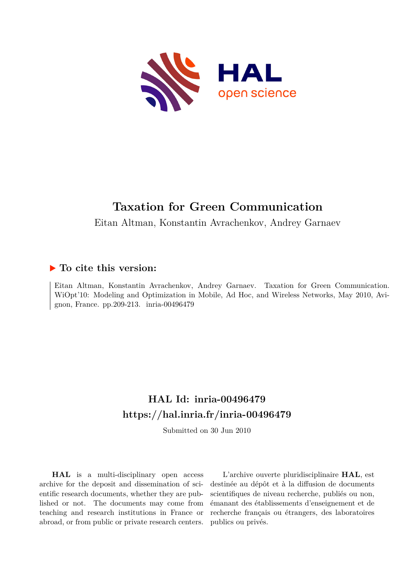

## **Taxation for Green Communication**

Eitan Altman, Konstantin Avrachenkov, Andrey Garnaev

## **To cite this version:**

Eitan Altman, Konstantin Avrachenkov, Andrey Garnaev. Taxation for Green Communication. WiOpt'10: Modeling and Optimization in Mobile, Ad Hoc, and Wireless Networks, May 2010, Avignon, France. pp.209-213. inria-00496479

## **HAL Id: inria-00496479 <https://hal.inria.fr/inria-00496479>**

Submitted on 30 Jun 2010

**HAL** is a multi-disciplinary open access archive for the deposit and dissemination of scientific research documents, whether they are published or not. The documents may come from teaching and research institutions in France or abroad, or from public or private research centers.

L'archive ouverte pluridisciplinaire **HAL**, est destinée au dépôt et à la diffusion de documents scientifiques de niveau recherche, publiés ou non, émanant des établissements d'enseignement et de recherche français ou étrangers, des laboratoires publics ou privés.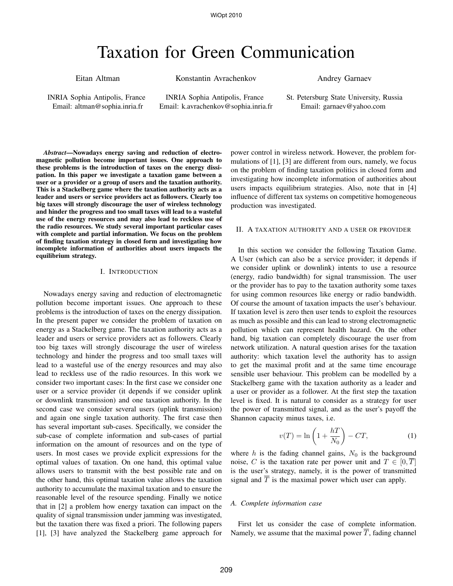# Taxation for Green Communication

Eitan Altman

Konstantin Avrachenkov

Andrey Garnaev

INRIA Sophia Antipolis, France Email: altman@sophia.inria.fr

INRIA Sophia Antipolis, France Email: k.avrachenkov@sophia.inria.fr

*Abstract*—Nowadays energy saving and reduction of electromagnetic pollution become important issues. One approach to these problems is the introduction of taxes on the energy dissipation. In this paper we investigate a taxation game between a user or a provider or a group of users and the taxation authority. This is a Stackelberg game where the taxation authority acts as a leader and users or service providers act as followers. Clearly too big taxes will strongly discourage the user of wireless technology and hinder the progress and too small taxes will lead to a wasteful use of the energy resources and may also lead to reckless use of the radio resources. We study several important particular cases with complete and partial information. We focus on the problem of finding taxation strategy in closed form and investigating how incomplete information of authorities about users impacts the equilibrium strategy.

### I. INTRODUCTION

Nowadays energy saving and reduction of electromagnetic pollution become important issues. One approach to these problems is the introduction of taxes on the energy dissipation. In the present paper we consider the problem of taxation on energy as a Stackelberg game. The taxation authority acts as a leader and users or service providers act as followers. Clearly too big taxes will strongly discourage the user of wireless technology and hinder the progress and too small taxes will lead to a wasteful use of the energy resources and may also lead to reckless use of the radio resources. In this work we consider two important cases: In the first case we consider one user or a service provider (it depends if we consider uplink or downlink transmission) and one taxation authority. In the second case we consider several users (uplink transmission) and again one single taxation authority. The first case then has several important sub-cases. Specifically, we consider the sub-case of complete information and sub-cases of partial information on the amount of resources and on the type of users. In most cases we provide explicit expressions for the optimal values of taxation. On one hand, this optimal value allows users to transmit with the best possible rate and on the other hand, this optimal taxation value allows the taxation authority to accumulate the maximal taxation and to ensure the reasonable level of the resource spending. Finally we notice that in [2] a problem how energy taxation can impact on the quality of signal transmission under jamming was investigated, but the taxation there was fixed a priori. The following papers [1], [3] have analyzed the Stackelberg game approach for

power control in wireless network. However, the problem formulations of [1], [3] are different from ours, namely, we focus on the problem of finding taxation politics in closed form and investigating how incomplete information of authorities about users impacts equilibrium strategies. Also, note that in [4] influence of different tax systems on competitive homogeneous production was investigated.

### II. A TAXATION AUTHORITY AND A USER OR PROVIDER

In this section we consider the following Taxation Game. A User (which can also be a service provider; it depends if we consider uplink or downlink) intents to use a resource (energy, radio bandwidth) for signal transmission. The user or the provider has to pay to the taxation authority some taxes for using common resources like energy or radio bandwidth. Of course the amount of taxation impacts the user's behaviour. If taxation level is zero then user tends to exploit the resources as much as possible and this can lead to strong electromagnetic pollution which can represent health hazard. On the other hand, big taxation can completely discourage the user from network utilization. A natural question arises for the taxation authority: which taxation level the authority has to assign to get the maximal profit and at the same time encourage sensible user behaviour. This problem can be modelled by a Stackelberg game with the taxation authority as a leader and a user or provider as a follower. At the first step the taxation level is fixed. It is natural to consider as a strategy for user the power of transmitted signal, and as the user's payoff the Shannon capacity minus taxes, i.e.

$$
v(T) = \ln\left(1 + \frac{hT}{N_0}\right) - CT,\tag{1}
$$

where h is the fading channel gains,  $N_0$  is the background noise, C is the taxation rate per power unit and  $T \in [0, \overline{T}]$ is the user's strategy, namely, it is the power of transmitted signal and  $\overline{T}$  is the maximal power which user can apply.

### *A. Complete information case*

First let us consider the case of complete information. Namely, we assume that the maximal power  $T$ , fading channel

St. Petersburg State University, Russia Email: garnaev@yahoo.com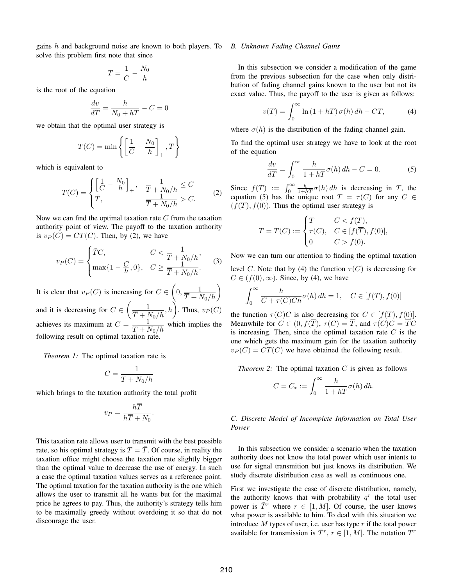gains h and background noise are known to both players. To *B. Unknown Fading Channel Gains* solve this problem first note that since

$$
T = \frac{1}{C} - \frac{N_0}{h}
$$

is the root of the equation

$$
\frac{dv}{dT} = \frac{h}{N_0 + hT} - C = 0
$$

we obtain that the optimal user strategy is

$$
T(C) = \min \left\{ \left[ \frac{1}{C} - \frac{N_0}{h} \right]_+, \overline{T} \right\}
$$

which is equivalent to

$$
T(C) = \begin{cases} \left[\frac{1}{C} - \frac{N_0}{h}\right]_+ , & \frac{1}{\overline{T} + N_0/h} \le C\\ \bar{T}, & \frac{1}{\overline{T} + N_0/h} > C. \end{cases}
$$
 (2)

Now we can find the optimal taxation rate  $C$  from the taxation authority point of view. The payoff to the taxation authority is  $v_P(C) = CT(C)$ . Then, by (2), we have

$$
v_P(C) = \begin{cases} \bar{T}C, & C < \frac{1}{\bar{T} + N_0/h}, \\ \max\{1 - \frac{C}{h}, 0\}, & C \ge \frac{1}{\bar{T} + N_0/h}. \end{cases}
$$
 (3)

It is clear that  $v_P(C)$  is increasing for  $C \in \left(0, \frac{1}{\overline{T} + N_0/h}\right)$ and it is decreasing for  $C \in \left(\frac{1}{\overline{T} + N_0/h}, h\right)$ . Thus,  $v_P(C)$ achieves its maximum at  $C = \frac{1}{\overline{T} + N_0/h}$  which implies the following result on optimal taxation rate.

*Theorem 1:* The optimal taxation rate is

$$
C=\frac{1}{\overline{T}+N_0/h}
$$

which brings to the taxation authority the total profit

$$
v_P = \frac{h\overline{T}}{h\overline{T} + N_0}.
$$

This taxation rate allows user to transmit with the best possible rate, so his optimal strategy is  $T = \overline{T}$ . Of course, in reality the taxation office might choose the taxation rate slightly bigger than the optimal value to decrease the use of energy. In such a case the optimal taxation values serves as a reference point. The optimal taxation for the taxation authority is the one which allows the user to transmit all he wants but for the maximal price he agrees to pay. Thus, the authority's strategy tells him to be maximally greedy without overdoing it so that do not discourage the user.

In this subsection we consider a modification of the game from the previous subsection for the case when only distribution of fading channel gains known to the user but not its exact value. Thus, the payoff to the user is given as follows:

$$
v(T) = \int_0^\infty \ln(1 + hT) \,\sigma(h) \, dh - CT,\tag{4}
$$

where  $\sigma(h)$  is the distribution of the fading channel gain.

To find the optimal user strategy we have to look at the root of the equation

$$
\frac{dv}{dT} = \int_0^\infty \frac{h}{1 + hT} \sigma(h) \, dh - C = 0. \tag{5}
$$

Since  $f(T) := \int_0^\infty \frac{h}{1+hT} \sigma(h) dh$  is decreasing in T, the equation (5) has the unique root  $T = \tau(C)$  for any  $C \in$  $(f(\overline{T}), f(0))$ . Thus the optimal user strategy is

$$
T = T(C) := \begin{cases} \overline{T} & C < f(\overline{T}), \\ \tau(C), & C \in [f(\overline{T}), f(0)], \\ 0 & C > f(0). \end{cases}
$$

Now we can turn our attention to finding the optimal taxation level C. Note that by (4) the function  $\tau(C)$  is decreasing for  $C \in (f(0), \infty)$ . Since, by (4), we have

$$
\int_0^\infty \frac{h}{C+\tau(C)Ch}\sigma(h)\,dh=1,\quad C\in[f(\overline{T}),f(0)]
$$

the function  $\tau(C)C$  is also decreasing for  $C \in [f(\overline{T}), f(0)].$ Meanwhile for  $C \in (0, f(\overline{T}), \tau(C) = \overline{T}$ , and  $\tau(C)C = \overline{T}C$ is increasing. Then, since the optimal taxation rate  $C$  is the one which gets the maximum gain for the taxation authority  $v_P(C) = CT(C)$  we have obtained the following result.

*Theorem 2:* The optimal taxation C is given as follows

$$
C=C_*:=\int_0^\infty \frac{h}{1+h\overline{T}}\sigma(h)\,dh.
$$

### *C. Discrete Model of Incomplete Information on Total User Power*

In this subsection we consider a scenario when the taxation authority does not know the total power which user intents to use for signal transmition but just knows its distribution. We study discrete distribution case as well as continuous one.

First we investigate the case of discrete distribution, namely, the authority knows that with probability  $q<sup>r</sup>$  the total user power is  $\overline{T}^r$  where  $r \in [1, M]$ . Of course, the user knows what power is available to him. To deal with this situation we introduce  $M$  types of user, i.e. user has type  $r$  if the total power available for transmission is  $\overline{T}^r$ ,  $r \in [1, M]$ . The notation  $T^r$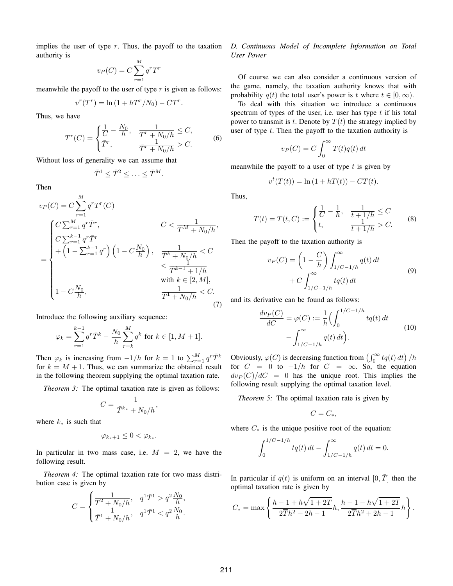implies the user of type  $r$ . Thus, the payoff to the taxation authority is

$$
v_P(C) = C \sum_{r=1}^{M} q^r T^r
$$

meanwhile the payoff to the user of type  $r$  is given as follows:

$$
v^r(T^r) = \ln\left(1 + hT^r/N_0\right) - CT^r.
$$

Thus, we have

$$
T^{r}(C) = \begin{cases} \frac{1}{C} - \frac{N_0}{h}, & \frac{1}{\overline{T}^{r} + N_0/h} \leq C, \\ \overline{T}^{r}, & \frac{1}{\overline{T}^{r} + N_0/h} > C. \end{cases}
$$
(6)

Without loss of generality we can assume that

$$
\bar{T}^1 \leq \bar{T}^2 \leq \ldots \leq \bar{T}^M.
$$

Then

$$
v_P(C) = C \sum_{r=1}^{M} q^r T^r(C)
$$
  
\n
$$
= \begin{cases} C \sum_{r=1}^{M} q^r \bar{T}^r, & C < \frac{1}{\bar{T}^M + N_0/h}, \\ C \sum_{r=1}^{k-1} q^r \bar{T}^r \\ + \left(1 - \sum_{r=1}^{k-1} q^r\right) \left(1 - C \frac{N_0}{h}\right), & \frac{1}{\bar{T}^k + N_0/h} < C \\ & < \frac{1}{\bar{T}^{k-1} + 1/h} \\ 1 - C \frac{N_0}{h}, & \frac{1}{\bar{T}^1 + N_0/h} < C. \end{cases}
$$

Introduce the following auxiliary sequence:

$$
\varphi_k = \sum_{r=1}^{k-1} q^r \bar{T}^k - \frac{N_0}{h} \sum_{r=k}^M q^k \text{ for } k \in [1, M+1].
$$

Then  $\varphi_k$  is increasing from  $-1/h$  for  $k = 1$  to  $\sum_{r=1}^{M} q^r \bar{T}^k$ for  $k = M + 1$ . Thus, we can summarize the obtained result in the following theorem supplying the optimal taxation rate.

*Theorem 3:* The optimal taxation rate is given as follows:

,

$$
C=\frac{1}{\bar{T}^{k_*}+N_0/h}
$$

where  $k_{\ast}$  is such that

$$
\varphi_{k_*+1} \leq 0 < \varphi_{k_*}.
$$

In particular in two mass case, i.e.  $M = 2$ , we have the following result.

*Theorem 4:* The optimal taxation rate for two mass distribution case is given by

$$
C = \begin{cases} \frac{1}{\bar{T}^2 + N_0/h}, & q^1 \bar{T}^1 > q^2 \frac{N_0}{h}, \\ \frac{1}{\bar{T}^1 + N_0/h}, & q^1 \bar{T}^1 < q^2 \frac{N_0}{h}. \end{cases}
$$

### *D. Continuous Model of Incomplete Information on Total User Power*

Of course we can also consider a continuous version of the game, namely, the taxation authority knows that with probability  $q(t)$  the total user's power is t where  $t \in [0, \infty)$ .

To deal with this situation we introduce a continuous spectrum of types of the user, i.e. user has type  $t$  if his total power to transmit is t. Denote by  $T(t)$  the strategy implied by user of type  $t$ . Then the payoff to the taxation authority is

$$
v_P(C) = C \int_0^\infty T(t)q(t) dt
$$

meanwhile the payoff to a user of type  $t$  is given by

$$
v^{t}(T(t)) = \ln(1 + hT(t)) - CT(t).
$$

Thus,

$$
T(t) = T(t, C) := \begin{cases} \frac{1}{C} - \frac{1}{h}, & \frac{1}{t + 1/h} \le C \\ t, & \frac{1}{t + 1/h} > C. \end{cases} \tag{8}
$$

Then the payoff to the taxation authority is

$$
v_P(C) = \left(1 - \frac{C}{h}\right) \int_{1/C - 1/h}^{\infty} q(t) dt
$$
  
+ 
$$
C \int_{1/C - 1/h}^{\infty} t q(t) dt
$$
 (9)

and its derivative can be found as follows:

$$
\frac{dv_P(C)}{dC} = \varphi(C) := \frac{1}{h} \Big( \int_0^{1/C - 1/h} tq(t) dt - \int_{1/C - 1/h}^{\infty} q(t) dt \Big). \tag{10}
$$

Obviously,  $\varphi(C)$  is decreasing function from  $\left(\int_0^\infty tq(t) dt\right)/h$ for  $C = 0$  to  $-1/h$  for  $C = \infty$ . So, the equation  $dv_P(C)/dC = 0$  has the unique root. This implies the following result supplying the optimal taxation level.

*Theorem 5:* The optimal taxation rate is given by

$$
C=C_*,
$$

where  $C_*$  is the unique positive root of the equation:

$$
\int_0^{1/C-1/h} tq(t) dt - \int_{1/C-1/h}^{\infty} q(t) dt = 0.
$$

In particular if  $q(t)$  is uniform on an interval  $[0, T]$  then the optimal taxation rate is given by

$$
C_* = \max\left\{\frac{h - 1 + h\sqrt{1 + 2\overline{T}}}{2\overline{T}h^2 + 2h - 1}h, \frac{h - 1 - h\sqrt{1 + 2\overline{T}}}{2\overline{T}h^2 + 2h - 1}h\right\}.
$$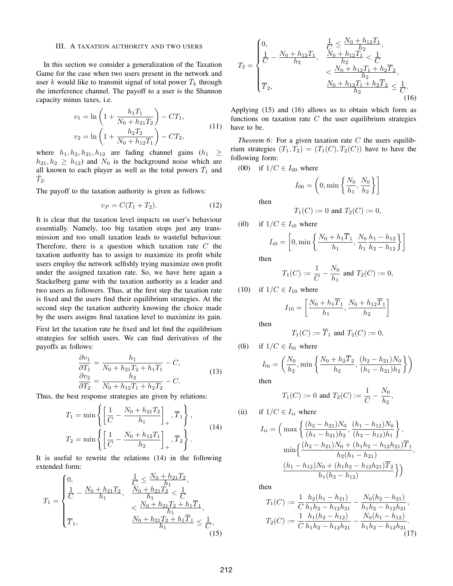### III. A TAXATION AUTHORITY AND TWO USERS

In this section we consider a generalization of the Taxation Game for the case when two users present in the network and user k would like to transmit signal of total power  $\bar{T}_k$  through the interference channel. The payoff to a user is the Shannon capacity minus taxes, i.e.

$$
v_1 = \ln\left(1 + \frac{h_1 T_1}{N_0 + h_{21} T_2}\right) - CT_1,
$$
  

$$
v_2 = \ln\left(1 + \frac{h_2 T_2}{N_0 + h_{12} T_1}\right) - CT_2,
$$
 (11)

where  $h_1, h_2, h_{21}, h_{12}$  are fading channel gains  $(h_1 \geq$  $h_{21}, h_2 \geq h_{12}$  and  $N_0$  is the background noise which are all known to each player as well as the total powers  $\bar{T}_1$  and  $\bar{T}_2$ .

The payoff to the taxation authority is given as follows:

$$
v_P = C(T_1 + T_2). \t\t(12)
$$

It is clear that the taxation level impacts on user's behaviour essentially. Namely, too big taxation stops just any transmission and too small taxation leads to wasteful behaviour. Therefore, there is a question which taxation rate  $C$  the taxation authority has to assign to maximize its profit while users employ the network selfishly trying maximize own profit under the assigned taxation rate. So, we have here again a Stackelberg game with the taxation authority as a leader and two users as followers. Thus, at the first step the taxation rate is fixed and the users find their equilibrium strategies. At the second step the taxation authority knowing the choice made by the users assigns final taxation level to maximize its gain.

First let the taxation rate be fixed and let find the equilibrium strategies for selfish users. We can find derivatives of the payoffs as follows:

$$
\frac{\partial v_1}{\partial T_1} = \frac{h_1}{N_0 + h_{21}T_2 + h_1T_1} - C,
$$
  
\n
$$
\frac{\partial v_2}{\partial T_2} = \frac{h_2}{N_0 + h_{12}T_1 + h_2T_2} - C.
$$
\n(13)

Thus, the best response strategies are given by relations:

$$
T_1 = \min \left\{ \left[ \frac{1}{C} - \frac{N_0 + h_{21}T_2}{h_1} \right]_+, \overline{T}_1 \right\},
$$
  
\n
$$
T_2 = \min \left\{ \left[ \frac{1}{C} - \frac{N_0 + h_{12}T_1}{h_2} \right]_+, \overline{T}_2 \right\}.
$$
 (14)

It is useful to rewrite the relations (14) in the following extended form:

$$
T_1 = \begin{cases} 0, & \frac{1}{C} \le \frac{N_0 + h_{21}T_2}{h_1}, \\ \frac{1}{C} - \frac{N_0 + h_{21}T_2}{h_1}, & \frac{N_0 + h_{21}T_2}{h_1} < \frac{1}{C} \\ & < \frac{N_0 + h_{21}T_2 + h_1T_1}{h_1}, \\ \overline{T}_1, & \frac{N_0 + h_{21}T_2 + h_1T_1}{h_1} \le \frac{1}{C}, \end{cases}
$$
(15)

$$
T_2 = \begin{cases} 0, & \frac{1}{C} \le \frac{N_0 + h_{12}T_1}{h_2}, \\ \frac{1}{C} - \frac{N_0 + h_{12}T_1}{h_2}, & \frac{N_0 + h_{12}T_1}{h_2} < \frac{1}{C} \\ & < \frac{N_0 + h_{12}T_1 + h_2T_2}{h_2}, \\ \overline{T}_2, & \frac{N_0 + h_{12}T_1 + h_2T_2}{h_2} \le \frac{1}{C} . \end{cases}
$$
(16)

Applying (15) and (16) allows us to obtain which form as functions on taxation rate  $C$  the user equilibrium strategies have to be.

*Theorem 6:* For a given taxation rate  $C$  the users equilibrium strategies  $(T_1, T_2) = (T_1(C), T_2(C))$  have to have the following form:

(00) if  $1/C \in I_{00}$  where

$$
I_{00} = \left(0, \min\left\{\frac{N_0}{h_1}, \frac{N_0}{h_2}\right\}\right]
$$

then

$$
T_1(C) := 0
$$
 and  $T_2(C) := 0$ ,

(i0) if 
$$
1/C \in I_{i0}
$$
 where

$$
I_{i0} = \left[0, \min\left\{\frac{N_0 + h_1\overline{T}_1}{h_1}, \frac{N_0}{h_1}\frac{h_1 - h_{12}}{h_2 - h_{12}}\right\}\right]
$$

then

$$
T_1(C) := \frac{1}{C} - \frac{N_0}{h_1}
$$
 and  $T_2(C) := 0$ ,

(10) if 
$$
1/C \in I_{10}
$$
 where

$$
I_{10} = \left[\frac{N_0 + h_1 \overline{T}_1}{h_1}, \frac{N_0 + h_{12} \overline{T}_1}{h_2}\right]
$$

then

$$
T_1(C) := \overline{T}_1 \text{ and } T_2(C) := 0,
$$

(0i) if 
$$
1/C \in I_{0i}
$$
 where

$$
I_{0i} = \left(\frac{N_0}{h_2}, \min\left\{\frac{N_0 + h_2 \overline{T}_2}{h_2}, \frac{(h_2 - h_{21})N_0}{(h_1 - h_{21})h_2}\right\}\right)
$$
  
then

$$
T_1(C) := 0
$$
 and  $T_2(C) := \frac{1}{C} - \frac{N_0}{h_2}$ ,

(ii) if 
$$
1/C \in I_{ii}
$$
 where

$$
I_{ii} = \left(\max\left\{\frac{(h_2 - h_{21})N_0}{(h_1 - h_{21})h_2}, \frac{(h_1 - h_{12})N_0}{(h_2 - h_{12})h_1}\right\},\right.\\
\min\left\{\frac{(h_2 - h_{21})N_0 + (h_1h_2 - h_{12}h_{21})\overline{T}_1}{h_2(h_1 - h_{21})},\right.\right.\\
\frac{(h_1 - h_{12})N_0 + (h_1h_2 - h_{12}h_{21})\overline{T}_2}{h_1(h_2 - h_{12})}\right\})
$$

then

$$
T_1(C) := \frac{1}{C} \frac{h_2(h_1 - h_{21})}{h_1 h_2 - h_{12} h_{21}} - \frac{N_0(h_2 - h_{21})}{h_1 h_2 - h_{12} h_{21}},
$$
  

$$
T_2(C) := \frac{1}{C} \frac{h_1(h_2 - h_{12})}{h_1 h_2 - h_{12} h_{21}} - \frac{N_0(h_1 - h_{12})}{h_1 h_2 - h_{12} h_{21}}.
$$
(17)